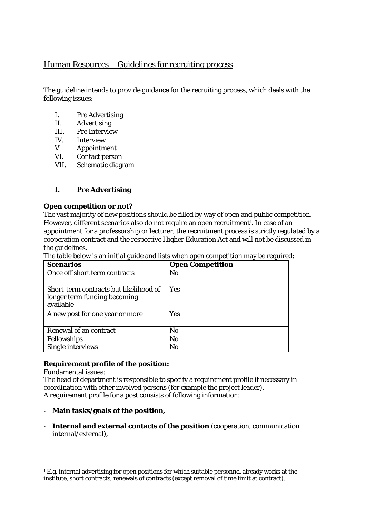# Human Resources – Guidelines for recruiting process

The guideline intends to provide guidance for the recruiting process, which deals with the following issues:

- I. Pre Advertising
- II. Advertising
- III. Pre Interview
- IV. Interview
- V. Appointment
- VI. Contact person
- VII. Schematic diagram

# **I. Pre Advertising**

### **Open competition or not?**

The vast majority of new positions should be filled by way of open and public competition. However, different scenarios also do not require an open recruitment<sup>1</sup>. In case of an appointment for a professorship or lecturer, the recruitment process is strictly regulated by a cooperation contract and the respective Higher Education Act and will not be discussed in the guidelines.

The table below is an initial guide and lists when open competition may be required:

| <b>Scenarios</b>                                                                    | <b>Open Competition</b> |
|-------------------------------------------------------------------------------------|-------------------------|
| Once off short term contracts                                                       | N <sub>0</sub>          |
| Short-term contracts but likelihood of<br>longer term funding becoming<br>available | Yes                     |
| A new post for one year or more                                                     | Yes                     |
| Renewal of an contract                                                              | N <sub>0</sub>          |
| Fellowships                                                                         | No                      |
| Single interviews                                                                   | No                      |

### **Requirement profile of the position:**

Fundamental issues:

The head of department is responsible to specify a requirement profile if necessary in coordination with other involved persons (for example the project leader). A requirement profile for a post consists of following information:

- **Main tasks/goals of the position,**
- **Internal and external contacts of the position** (cooperation, communication internal/external),

 1 E.g. internal advertising for open positions for which suitable personnel already works at the institute, short contracts, renewals of contracts (except removal of time limit at contract).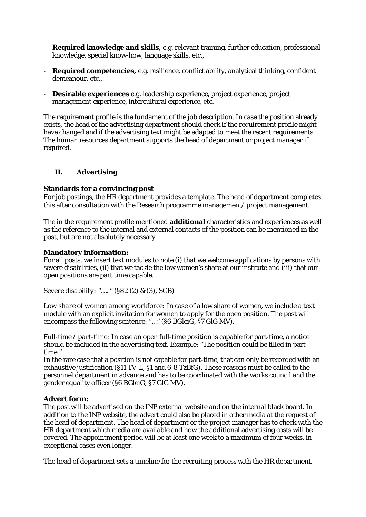- **Required knowledge and skills,** e.g. relevant training, further education, professional knowledge, special know-how, language skills, etc.,
- **Required competencies,** e.g. resilience, conflict ability, analytical thinking, confident demeanour, etc.,
- **Desirable experiences** e.g. leadership experience, project experience, project management experience, intercultural experience, etc.

The requirement profile is the fundament of the job description. In case the position already exists, the head of the advertising department should check if the requirement profile might have changed and if the advertising text might be adapted to meet the recent requirements. The human resources department supports the head of department or project manager if required.

### **II. Advertising**

### **Standards for a convincing post**

For job postings, the HR department provides a template. The head of department completes this after consultation with the Research programme management/ project management.

The in the requirement profile mentioned **additional** characteristics and experiences as well as the reference to the internal and external contacts of the position can be mentioned in the post, but are not absolutely necessary.

#### **Mandatory information:**

For all posts, we insert text modules to note (i) that we welcome applications by persons with severe disabilities, (ii) that we tackle the low women's share at our institute and (iii) that our open positions are part time capable.

*Severe disability:* "…. " (§82 (2) & (3), SGB)

*Low share of women among workforce:* In case of a low share of women, we include a text module with an explicit invitation for women to apply for the open position. The post will encompass the following sentence: "..." (§6 BGleiG, §7 GlG MV).

*Full-time / part-time:* In case an open full-time position is capable for part-time, a notice should be included in the advertising text. Example: "The position could be filled in parttime."

In the rare case that a position is not capable for part-time, that can only be recorded with an exhaustive justification (§11 TV-L, §1 and 6-8 TzBfG). These reasons must be called to the personnel department in advance and has to be coordinated with the works council and the gender equality officer (§6 BGleiG, §7 GlG MV).

### **Advert form:**

The post will be advertised on the INP external website and on the internal black board. In addition to the INP website, the advert could also be placed in other media at the request of the head of department. The head of department or the project manager has to check with the HR department which media are available and how the additional advertising costs will be covered. The appointment period will be at least one week to a maximum of four weeks, in exceptional cases even longer.

The head of department sets a timeline for the recruiting process with the HR department.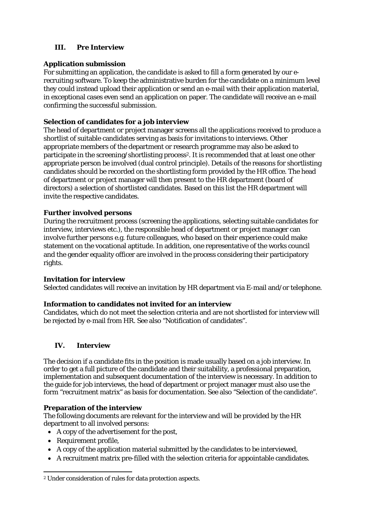# **III. Pre Interview**

## **Application submission**

For submitting an application, the candidate is asked to fill a form generated by our erecruiting software. To keep the administrative burden for the candidate on a minimum level they could instead upload their application or send an e-mail with their application material, in exceptional cases even send an application on paper. The candidate will receive an e-mail confirming the successful submission.

## **Selection of candidates for a job interview**

The head of department or project manager screens all the applications received to produce a shortlist of suitable candidates serving as basis for invitations to interviews. Other appropriate members of the department or research programme may also be asked to participate in the screening/shortlisting process<sup>2</sup>. It is recommended that at least one other appropriate person be involved (dual control principle). Details of the reasons for shortlisting candidates should be recorded on the shortlisting form provided by the HR office. The head of department or project manager will then present to the HR department (board of directors) a selection of shortlisted candidates. Based on this list the HR department will invite the respective candidates.

### **Further involved persons**

During the recruitment process (screening the applications, selecting suitable candidates for interview, interviews etc.), the responsible head of department or project manager can involve further persons e.g. future colleagues, who based on their experience could make statement on the vocational aptitude. In addition, one representative of the works council and the gender equality officer are involved in the process considering their participatory rights.

### **Invitation for interview**

Selected candidates will receive an invitation by HR department via E-mail and/or telephone.

### **Information to candidates not invited for an interview**

Candidates, which do not meet the selection criteria and are not shortlisted for interview will be rejected by e-mail from HR. See also "Notification of candidates".

# **IV. Interview**

The decision if a candidate fits in the position is made usually based on a job interview. In order to get a full picture of the candidate and their suitability, a professional preparation, implementation and subsequent documentation of the interview is necessary. In addition to the guide for job interviews, the head of department or project manager must also use the form "recruitment matrix" as basis for documentation. See also "Selection of the candidate".

### **Preparation of the interview**

The following documents are relevant for the interview and will be provided by the HR department to all involved persons:

- A copy of the advertisement for the post,
- Requirement profile,
- A copy of the application material submitted by the candidates to be interviewed,
- A recruitment matrix pre-filled with the selection criteria for appointable candidates.

 2 Under consideration of rules for data protection aspects.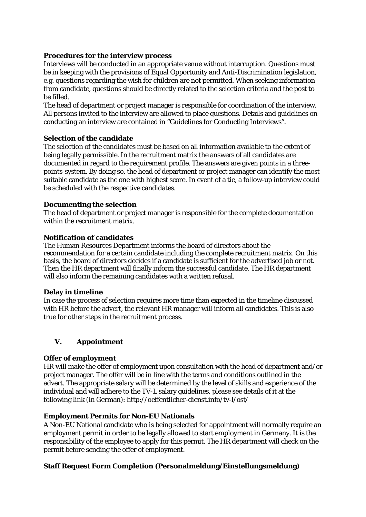### **Procedures for the interview process**

Interviews will be conducted in an appropriate venue without interruption. Questions must be in keeping with the provisions of Equal Opportunity and Anti-Discrimination legislation, e.g. questions regarding the wish for children are not permitted. When seeking information from candidate, questions should be directly related to the selection criteria and the post to be filled.

The head of department or project manager is responsible for coordination of the interview. All persons invited to the interview are allowed to place questions. Details and guidelines on conducting an interview are contained in "Guidelines for Conducting Interviews".

### **Selection of the candidate**

The selection of the candidates must be based on all information available to the extent of being legally permissible. In the recruitment matrix the answers of all candidates are documented in regard to the requirement profile. The answers are given points in a threepoints-system. By doing so, the head of department or project manager can identify the most suitable candidate as the one with highest score. In event of a tie, a follow-up interview could be scheduled with the respective candidates.

### **Documenting the selection**

The head of department or project manager is responsible for the complete documentation within the recruitment matrix.

### **Notification of candidates**

The Human Resources Department informs the board of directors about the recommendation for a certain candidate including the complete recruitment matrix. On this basis, the board of directors decides if a candidate is sufficient for the advertised job or not. Then the HR department will finally inform the successful candidate. The HR department will also inform the remaining candidates with a written refusal.

### **Delay in timeline**

In case the process of selection requires more time than expected in the timeline discussed with HR before the advert, the relevant HR manager will inform all candidates. This is also true for other steps in the recruitment process.

# **V. Appointment**

# **Offer of employment**

HR will make the offer of employment upon consultation with the head of department and/or project manager. The offer will be in line with the terms and conditions outlined in the advert. The appropriate salary will be determined by the level of skills and experience of the individual and will adhere to the TV-L salary guidelines, please see details of it at the following link (in German): http://oeffentlicher-dienst.info/tv-l/ost/

### **Employment Permits for Non-EU Nationals**

A Non-EU National candidate who is being selected for appointment will normally require an employment permit in order to be legally allowed to start employment in Germany. It is the responsibility of the employee to apply for this permit. The HR department will check on the permit before sending the offer of employment.

# **Staff Request Form Completion (Personalmeldung/Einstellungsmeldung)**